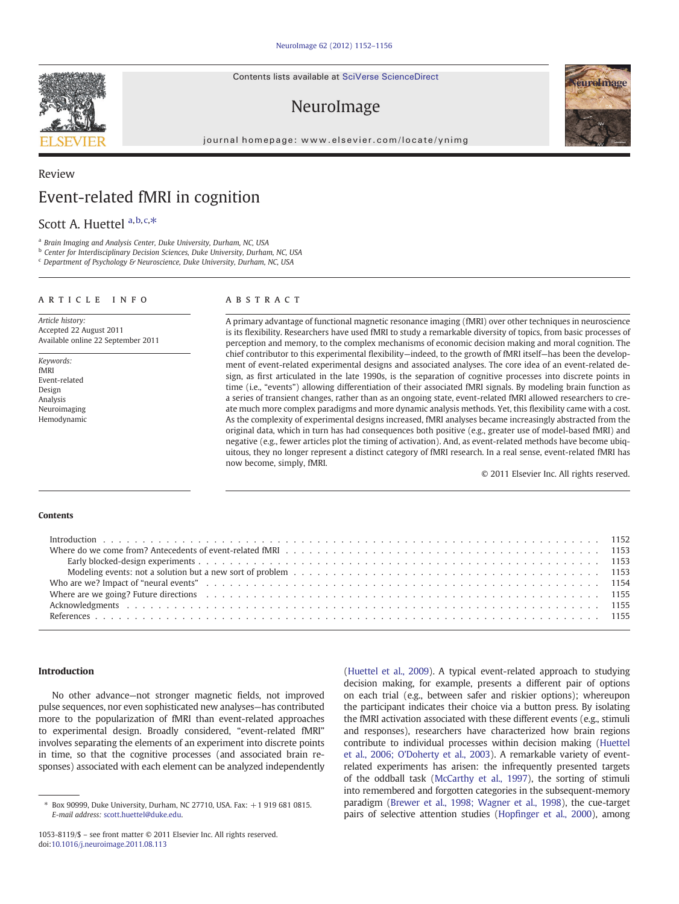Contents lists available at SciVerse ScienceDirect

# NeuroImage

journal homepage: www.elsevier.com/locate/ynimg



# Review Event-related fMRI in cognition

## Scott A. Huettel a, b, c,\*

a Brain Imaging and Analysis Center, Duke University, Durham, NC, USA

b Center for Interdisciplinary Decision Sciences, Duke University, Durham, NC, USA

<sup>c</sup> Department of Psychology & Neuroscience, Duke University, Durham, NC, USA

### article info abstract

Article history: Accepted 22 August 2011 Available online 22 September 2011

Keywords: fMRI Event-related Design Analysis Neuroimaging Hemodynamic A primary advantage of functional magnetic resonance imaging (fMRI) over other techniques in neuroscience is its flexibility. Researchers have used fMRI to study a remarkable diversity of topics, from basic processes of perception and memory, to the complex mechanisms of economic decision making and moral cognition. The chief contributor to this experimental flexibility—indeed, to the growth of fMRI itself—has been the development of event-related experimental designs and associated analyses. The core idea of an event-related design, as first articulated in the late 1990s, is the separation of cognitive processes into discrete points in time (i.e., "events") allowing differentiation of their associated fMRI signals. By modeling brain function as a series of transient changes, rather than as an ongoing state, event-related fMRI allowed researchers to create much more complex paradigms and more dynamic analysis methods. Yet, this flexibility came with a cost. As the complexity of experimental designs increased, fMRI analyses became increasingly abstracted from the original data, which in turn has had consequences both positive (e.g., greater use of model-based fMRI) and negative (e.g., fewer articles plot the timing of activation). And, as event-related methods have become ubiquitous, they no longer represent a distinct category of fMRI research. In a real sense, event-related fMRI has now become, simply, fMRI.

© 2011 Elsevier Inc. All rights reserved.

#### Contents

| Where are we going? Future directions enterstated by contact the control of the control of the contact of the contact the contact of the contact of the contact of the contact of the contact of the contact of the contact of |  |
|--------------------------------------------------------------------------------------------------------------------------------------------------------------------------------------------------------------------------------|--|
|                                                                                                                                                                                                                                |  |
|                                                                                                                                                                                                                                |  |

#### Introduction

No other advance—not stronger magnetic fields, not improved pulse sequences, nor even sophisticated new analyses—has contributed more to the popularization of fMRI than event-related approaches to experimental design. Broadly considered, "event-related fMRI" involves separating the elements of an experiment into discrete points in time, so that the cognitive processes (and associated brain responses) associated with each element can be analyzed independently [\(Huettel et al., 2009](#page-4-0)). A typical event-related approach to studying decision making, for example, presents a different pair of options on each trial (e.g., between safer and riskier options); whereupon the participant indicates their choice via a button press. By isolating the fMRI activation associated with these different events (e.g., stimuli and responses), researchers have characterized how brain regions contribute to individual processes within decision making [\(Huettel](#page-4-0) [et al., 2006; O'Doherty et al., 2003](#page-4-0)). A remarkable variety of eventrelated experiments has arisen: the infrequently presented targets of the oddball task [\(McCarthy et al., 1997\)](#page-4-0), the sorting of stimuli into remembered and forgotten categories in the subsequent-memory paradigm ([Brewer et al., 1998; Wagner et al., 1998](#page-3-0)), the cue-target pairs of selective attention studies (Hopfi[nger et al., 2000](#page-4-0)), among



 $*$  Box 90999, Duke University, Durham, NC 27710, USA, Fax:  $+1$  919 681 0815. E-mail address: [scott.huettel@duke.edu](mailto:scott.huettel@duke.edu).

<sup>1053-8119/\$</sup> – see front matter © 2011 Elsevier Inc. All rights reserved. doi[:10.1016/j.neuroimage.2011.08.113](http://dx.doi.org/10.1016/j.neuroimage.2011.08.113)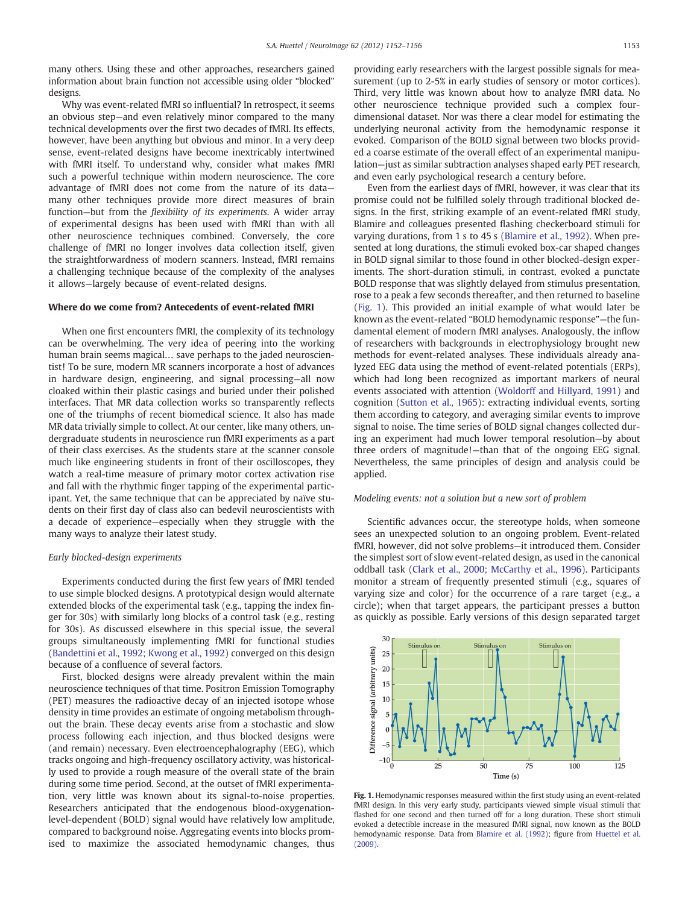many others. Using these and other approaches, researchers gained information about brain function not accessible using older "blocked" designs.

Why was event-related fMRI so influential? In retrospect, it seems an obvious step—and even relatively minor compared to the many technical developments over the first two decades of fMRI. Its effects, however, have been anything but obvious and minor. In a very deep sense, event-related designs have become inextricably intertwined with fMRI itself. To understand why, consider what makes fMRI such a powerful technique within modern neuroscience. The core advantage of fMRI does not come from the nature of its data many other techniques provide more direct measures of brain function—but from the flexibility of its experiments. A wider array of experimental designs has been used with fMRI than with all other neuroscience techniques combined. Conversely, the core challenge of fMRI no longer involves data collection itself, given the straightforwardness of modern scanners. Instead, fMRI remains a challenging technique because of the complexity of the analyses it allows—largely because of event-related designs.

#### Where do we come from? Antecedents of event-related fMRI

When one first encounters fMRI, the complexity of its technology can be overwhelming. The very idea of peering into the working human brain seems magical… save perhaps to the jaded neuroscientist! To be sure, modern MR scanners incorporate a host of advances in hardware design, engineering, and signal processing—all now cloaked within their plastic casings and buried under their polished interfaces. That MR data collection works so transparently reflects one of the triumphs of recent biomedical science. It also has made MR data trivially simple to collect. At our center, like many others, undergraduate students in neuroscience run fMRI experiments as a part of their class exercises. As the students stare at the scanner console much like engineering students in front of their oscilloscopes, they watch a real-time measure of primary motor cortex activation rise and fall with the rhythmic finger tapping of the experimental participant. Yet, the same technique that can be appreciated by naïve students on their first day of class also can bedevil neuroscientists with a decade of experience—especially when they struggle with the many ways to analyze their latest study.

#### Early blocked-design experiments

Experiments conducted during the first few years of fMRI tended to use simple blocked designs. A prototypical design would alternate extended blocks of the experimental task (e.g., tapping the index finger for 30s) with similarly long blocks of a control task (e.g., resting for 30s). As discussed elsewhere in this special issue, the several groups simultaneously implementing fMRI for functional studies [\(Bandettini et al., 1992; Kwong et al., 1992](#page-3-0)) converged on this design because of a confluence of several factors.

First, blocked designs were already prevalent within the main neuroscience techniques of that time. Positron Emission Tomography (PET) measures the radioactive decay of an injected isotope whose density in time provides an estimate of ongoing metabolism throughout the brain. These decay events arise from a stochastic and slow process following each injection, and thus blocked designs were (and remain) necessary. Even electroencephalography (EEG), which tracks ongoing and high-frequency oscillatory activity, was historically used to provide a rough measure of the overall state of the brain during some time period. Second, at the outset of fMRI experimentation, very little was known about its signal-to-noise properties. Researchers anticipated that the endogenous blood-oxygenationlevel-dependent (BOLD) signal would have relatively low amplitude, compared to background noise. Aggregating events into blocks promised to maximize the associated hemodynamic changes, thus providing early researchers with the largest possible signals for measurement (up to 2-5% in early studies of sensory or motor cortices). Third, very little was known about how to analyze fMRI data. No other neuroscience technique provided such a complex fourdimensional dataset. Nor was there a clear model for estimating the underlying neuronal activity from the hemodynamic response it evoked. Comparison of the BOLD signal between two blocks provided a coarse estimate of the overall effect of an experimental manipulation—just as similar subtraction analyses shaped early PET research, and even early psychological research a century before.

Even from the earliest days of fMRI, however, it was clear that its promise could not be fulfilled solely through traditional blocked designs. In the first, striking example of an event-related fMRI study, Blamire and colleagues presented flashing checkerboard stimuli for varying durations, from 1 s to 45 s ([Blamire et al., 1992\)](#page-3-0). When presented at long durations, the stimuli evoked box-car shaped changes in BOLD signal similar to those found in other blocked-design experiments. The short-duration stimuli, in contrast, evoked a punctate BOLD response that was slightly delayed from stimulus presentation, rose to a peak a few seconds thereafter, and then returned to baseline (Fig. 1). This provided an initial example of what would later be known as the event-related "BOLD hemodynamic response"—the fundamental element of modern fMRI analyses. Analogously, the inflow of researchers with backgrounds in electrophysiology brought new methods for event-related analyses. These individuals already analyzed EEG data using the method of event-related potentials (ERPs), which had long been recognized as important markers of neural events associated with attention [\(Woldorff and Hillyard, 1991](#page-4-0)) and cognition [\(Sutton et al., 1965](#page-4-0)): extracting individual events, sorting them according to category, and averaging similar events to improve signal to noise. The time series of BOLD signal changes collected during an experiment had much lower temporal resolution—by about three orders of magnitude!—than that of the ongoing EEG signal. Nevertheless, the same principles of design and analysis could be applied.

#### Modeling events: not a solution but a new sort of problem

Scientific advances occur, the stereotype holds, when someone sees an unexpected solution to an ongoing problem. Event-related fMRI, however, did not solve problems—it introduced them. Consider the simplest sort of slow event-related design, as used in the canonical oddball task [\(Clark et al., 2000; McCarthy et al., 1996](#page-4-0)). Participants monitor a stream of frequently presented stimuli (e.g., squares of varying size and color) for the occurrence of a rare target (e.g., a circle); when that target appears, the participant presses a button as quickly as possible. Early versions of this design separated target



Fig. 1. Hemodynamic responses measured within the first study using an event-related fMRI design. In this very early study, participants viewed simple visual stimuli that flashed for one second and then turned off for a long duration. These short stimuli evoked a detectible increase in the measured fMRI signal, now known as the BOLD hemodynamic response. Data from [Blamire et al. \(1992\)](#page-3-0); figure from [Huettel et al.](#page-4-0) [\(2009\).](#page-4-0)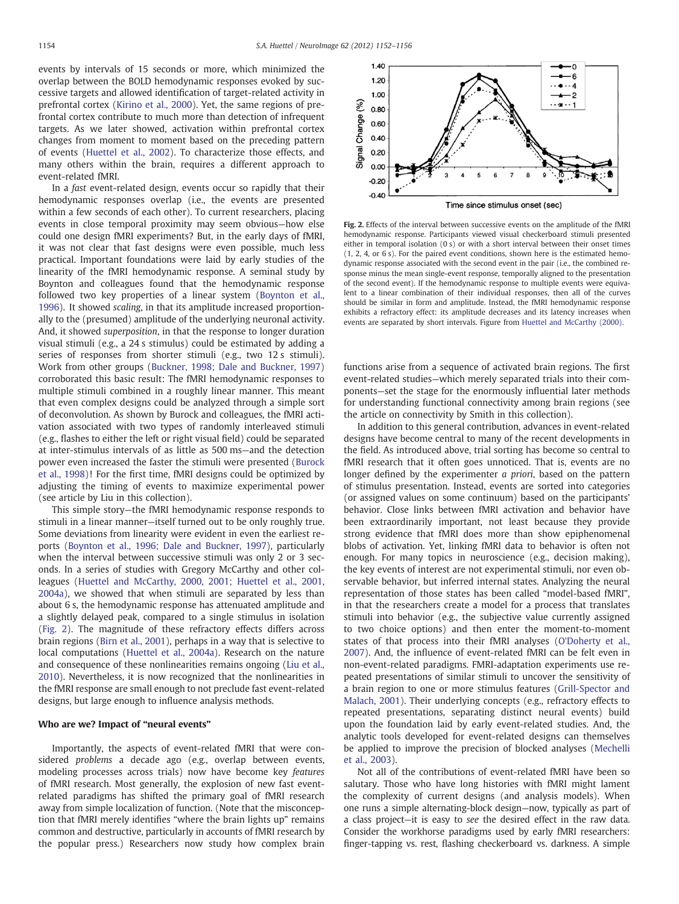events by intervals of 15 seconds or more, which minimized the overlap between the BOLD hemodynamic responses evoked by successive targets and allowed identification of target-related activity in prefrontal cortex [\(Kirino et al., 2000\)](#page-4-0). Yet, the same regions of prefrontal cortex contribute to much more than detection of infrequent targets. As we later showed, activation within prefrontal cortex changes from moment to moment based on the preceding pattern of events ([Huettel et al., 2002](#page-4-0)). To characterize those effects, and many others within the brain, requires a different approach to event-related fMRI.

In a fast event-related design, events occur so rapidly that their hemodynamic responses overlap (i.e., the events are presented within a few seconds of each other). To current researchers, placing events in close temporal proximity may seem obvious—how else could one design fMRI experiments? But, in the early days of fMRI, it was not clear that fast designs were even possible, much less practical. Important foundations were laid by early studies of the linearity of the fMRI hemodynamic response. A seminal study by Boynton and colleagues found that the hemodynamic response followed two key properties of a linear system [\(Boynton et al.,](#page-3-0) [1996\)](#page-3-0). It showed scaling, in that its amplitude increased proportionally to the (presumed) amplitude of the underlying neuronal activity. And, it showed superposition, in that the response to longer duration visual stimuli (e.g., a 24 s stimulus) could be estimated by adding a series of responses from shorter stimuli (e.g., two 12 s stimuli). Work from other groups ([Buckner, 1998; Dale and Buckner, 1997](#page-3-0)) corroborated this basic result: The fMRI hemodynamic responses to multiple stimuli combined in a roughly linear manner. This meant that even complex designs could be analyzed through a simple sort of deconvolution. As shown by Burock and colleagues, the fMRI activation associated with two types of randomly interleaved stimuli (e.g., flashes to either the left or right visual field) could be separated at inter-stimulus intervals of as little as 500 ms—and the detection power even increased the faster the stimuli were presented ([Burock](#page-3-0) [et al., 1998\)](#page-3-0)! For the first time, fMRI designs could be optimized by adjusting the timing of events to maximize experimental power (see article by Liu in this collection).

This simple story—the fMRI hemodynamic response responds to stimuli in a linear manner—itself turned out to be only roughly true. Some deviations from linearity were evident in even the earliest reports ([Boynton et al., 1996; Dale and Buckner, 1997\)](#page-3-0), particularly when the interval between successive stimuli was only 2 or 3 seconds. In a series of studies with Gregory McCarthy and other colleagues ([Huettel and McCarthy, 2000, 2001; Huettel et al., 2001,](#page-4-0) [2004a](#page-4-0)), we showed that when stimuli are separated by less than about 6 s, the hemodynamic response has attenuated amplitude and a slightly delayed peak, compared to a single stimulus in isolation (Fig. 2). The magnitude of these refractory effects differs across brain regions ([Birn et al., 2001](#page-3-0)), perhaps in a way that is selective to local computations [\(Huettel et al., 2004a\)](#page-4-0). Research on the nature and consequence of these nonlinearities remains ongoing [\(Liu et al.,](#page-4-0) [2010\)](#page-4-0). Nevertheless, it is now recognized that the nonlinearities in the fMRI response are small enough to not preclude fast event-related designs, but large enough to influence analysis methods.

#### Who are we? Impact of "neural events"

Importantly, the aspects of event-related fMRI that were considered problems a decade ago (e.g., overlap between events, modeling processes across trials) now have become key features of fMRI research. Most generally, the explosion of new fast eventrelated paradigms has shifted the primary goal of fMRI research away from simple localization of function. (Note that the misconception that fMRI merely identifies "where the brain lights up" remains common and destructive, particularly in accounts of fMRI research by the popular press.) Researchers now study how complex brain



Fig. 2. Effects of the interval between successive events on the amplitude of the fMRI hemodynamic response. Participants viewed visual checkerboard stimuli presented either in temporal isolation (0 s) or with a short interval between their onset times (1, 2, 4, or 6 s). For the paired event conditions, shown here is the estimated hemodynamic response associated with the second event in the pair (i.e., the combined response minus the mean single-event response, temporally aligned to the presentation of the second event). If the hemodynamic response to multiple events were equivalent to a linear combination of their individual responses, then all of the curves should be similar in form and amplitude. Instead, the fMRI hemodynamic response exhibits a refractory effect: its amplitude decreases and its latency increases when events are separated by short intervals. Figure from [Huettel and McCarthy \(2000\)](#page-4-0).

functions arise from a sequence of activated brain regions. The first event-related studies—which merely separated trials into their components—set the stage for the enormously influential later methods for understanding functional connectivity among brain regions (see the article on connectivity by Smith in this collection).

In addition to this general contribution, advances in event-related designs have become central to many of the recent developments in the field. As introduced above, trial sorting has become so central to fMRI research that it often goes unnoticed. That is, events are no longer defined by the experimenter a priori, based on the pattern of stimulus presentation. Instead, events are sorted into categories (or assigned values on some continuum) based on the participants' behavior. Close links between fMRI activation and behavior have been extraordinarily important, not least because they provide strong evidence that fMRI does more than show epiphenomenal blobs of activation. Yet, linking fMRI data to behavior is often not enough. For many topics in neuroscience (e.g., decision making), the key events of interest are not experimental stimuli, nor even observable behavior, but inferred internal states. Analyzing the neural representation of those states has been called "model-based fMRI", in that the researchers create a model for a process that translates stimuli into behavior (e.g., the subjective value currently assigned to two choice options) and then enter the moment-to-moment states of that process into their fMRI analyses ([O'Doherty et al.,](#page-4-0) [2007\)](#page-4-0). And, the influence of event-related fMRI can be felt even in non-event-related paradigms. FMRI-adaptation experiments use repeated presentations of similar stimuli to uncover the sensitivity of a brain region to one or more stimulus features ([Grill-Spector and](#page-4-0) [Malach, 2001](#page-4-0)). Their underlying concepts (e.g., refractory effects to repeated presentations, separating distinct neural events) build upon the foundation laid by early event-related studies. And, the analytic tools developed for event-related designs can themselves be applied to improve the precision of blocked analyses ([Mechelli](#page-4-0) [et al., 2003](#page-4-0)).

Not all of the contributions of event-related fMRI have been so salutary. Those who have long histories with fMRI might lament the complexity of current designs (and analysis models). When one runs a simple alternating-block design—now, typically as part of a class project—it is easy to see the desired effect in the raw data. Consider the workhorse paradigms used by early fMRI researchers: finger-tapping vs. rest, flashing checkerboard vs. darkness. A simple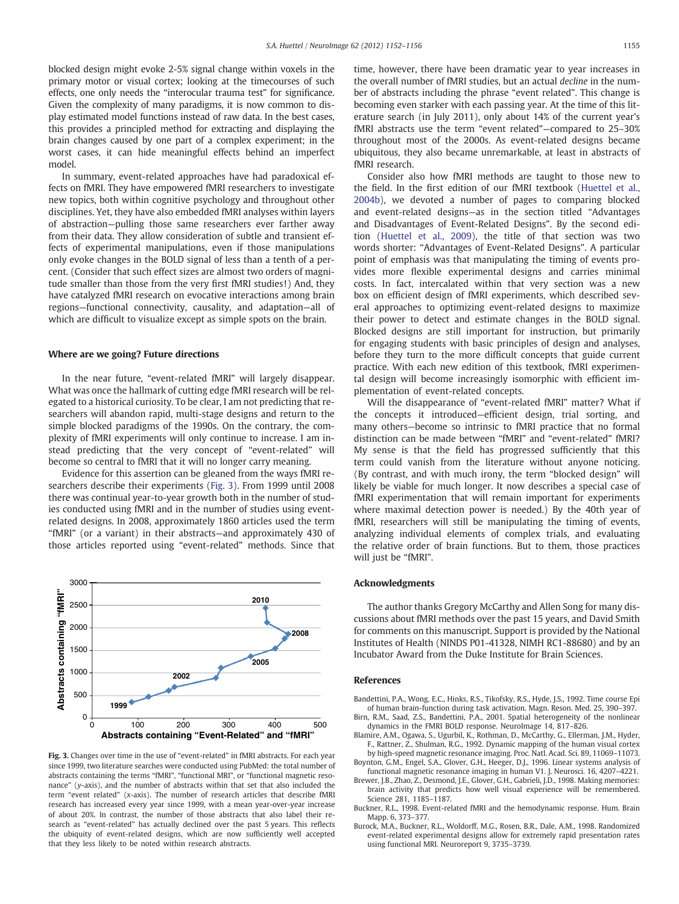<span id="page-3-0"></span>blocked design might evoke 2-5% signal change within voxels in the primary motor or visual cortex; looking at the timecourses of such effects, one only needs the "interocular trauma test" for significance. Given the complexity of many paradigms, it is now common to display estimated model functions instead of raw data. In the best cases, this provides a principled method for extracting and displaying the brain changes caused by one part of a complex experiment; in the worst cases, it can hide meaningful effects behind an imperfect model.

In summary, event-related approaches have had paradoxical effects on fMRI. They have empowered fMRI researchers to investigate new topics, both within cognitive psychology and throughout other disciplines. Yet, they have also embedded fMRI analyses within layers of abstraction—pulling those same researchers ever farther away from their data. They allow consideration of subtle and transient effects of experimental manipulations, even if those manipulations only evoke changes in the BOLD signal of less than a tenth of a percent. (Consider that such effect sizes are almost two orders of magnitude smaller than those from the very first fMRI studies!) And, they have catalyzed fMRI research on evocative interactions among brain regions—functional connectivity, causality, and adaptation—all of which are difficult to visualize except as simple spots on the brain.

#### Where are we going? Future directions

In the near future, "event-related fMRI" will largely disappear. What was once the hallmark of cutting edge fMRI research will be relegated to a historical curiosity. To be clear, I am not predicting that researchers will abandon rapid, multi-stage designs and return to the simple blocked paradigms of the 1990s. On the contrary, the complexity of fMRI experiments will only continue to increase. I am instead predicting that the very concept of "event-related" will become so central to fMRI that it will no longer carry meaning.

Evidence for this assertion can be gleaned from the ways fMRI researchers describe their experiments (Fig. 3). From 1999 until 2008 there was continual year-to-year growth both in the number of studies conducted using fMRI and in the number of studies using eventrelated designs. In 2008, approximately 1860 articles used the term "fMRI" (or a variant) in their abstracts—and approximately 430 of those articles reported using "event-related" methods. Since that



Fig. 3. Changes over time in the use of "event-related" in fMRI abstracts. For each year since 1999, two literature searches were conducted using PubMed: the total number of abstracts containing the terms "fMRI", "functional MRI", or "functional magnetic resonance" (y-axis), and the number of abstracts within that set that also included the term "event related" (x-axis). The number of research articles that describe fMRI research has increased every year since 1999, with a mean year-over-year increase of about 20%. In contrast, the number of those abstracts that also label their research as "event-related" has actually declined over the past 5 years. This reflects the ubiquity of event-related designs, which are now sufficiently well accepted that they less likely to be noted within research abstracts.

time, however, there have been dramatic year to year increases in the overall number of fMRI studies, but an actual decline in the number of abstracts including the phrase "event related". This change is becoming even starker with each passing year. At the time of this literature search (in July 2011), only about 14% of the current year's fMRI abstracts use the term "event related"—compared to 25–30% throughout most of the 2000s. As event-related designs became ubiquitous, they also became unremarkable, at least in abstracts of fMRI research.

Consider also how fMRI methods are taught to those new to the field. In the first edition of our fMRI textbook ([Huettel et al.,](#page-4-0) [2004b](#page-4-0)), we devoted a number of pages to comparing blocked and event-related designs—as in the section titled "Advantages and Disadvantages of Event-Related Designs". By the second edition [\(Huettel et al., 2009\)](#page-4-0), the title of that section was two words shorter: "Advantages of Event-Related Designs". A particular point of emphasis was that manipulating the timing of events provides more flexible experimental designs and carries minimal costs. In fact, intercalated within that very section was a new box on efficient design of fMRI experiments, which described several approaches to optimizing event-related designs to maximize their power to detect and estimate changes in the BOLD signal. Blocked designs are still important for instruction, but primarily for engaging students with basic principles of design and analyses, before they turn to the more difficult concepts that guide current practice. With each new edition of this textbook, fMRI experimental design will become increasingly isomorphic with efficient implementation of event-related concepts.

Will the disappearance of "event-related fMRI" matter? What if the concepts it introduced—efficient design, trial sorting, and many others—become so intrinsic to fMRI practice that no formal distinction can be made between "fMRI" and "event-related" fMRI? My sense is that the field has progressed sufficiently that this term could vanish from the literature without anyone noticing. (By contrast, and with much irony, the term "blocked design" will likely be viable for much longer. It now describes a special case of fMRI experimentation that will remain important for experiments where maximal detection power is needed.) By the 40th year of fMRI, researchers will still be manipulating the timing of events, analyzing individual elements of complex trials, and evaluating the relative order of brain functions. But to them, those practices will just be "fMRI".

#### Acknowledgments

The author thanks Gregory McCarthy and Allen Song for many discussions about fMRI methods over the past 15 years, and David Smith for comments on this manuscript. Support is provided by the National Institutes of Health (NINDS P01-41328, NIMH RC1-88680) and by an Incubator Award from the Duke Institute for Brain Sciences.

#### References

Bandettini, P.A., Wong, E.C., Hinks, R.S., Tikofsky, R.S., Hyde, J.S., 1992. Time course Epi of human brain-function during task activation. Magn. Reson. Med. 25, 390–397.

- Birn, R.M., Saad, Z.S., Bandettini, P.A., 2001. Spatial heterogeneity of the nonlinear dynamics in the FMRI BOLD response. NeuroImage 14, 817–826.
- Blamire, A.M., Ogawa, S., Ugurbil, K., Rothman, D., McCarthy, G., Ellerman, J.M., Hyder, F., Rattner, Z., Shulman, R.G., 1992. Dynamic mapping of the human visual cortex by high-speed magnetic resonance imaging. Proc. Natl. Acad. Sci. 89, 11069–11073.
- Boynton, G.M., Engel, S.A., Glover, G.H., Heeger, D.J., 1996. Linear systems analysis of functional magnetic resonance imaging in human V1. J. Neurosci. 16, 4207–4221.
- Brewer, J.B., Zhao, Z., Desmond, J.E., Glover, G.H., Gabrieli, J.D., 1998. Making memories: brain activity that predicts how well visual experience will be remembered. Science 281, 1185–1187.
- Buckner, R.L., 1998. Event-related fMRI and the hemodynamic response. Hum. Brain Mapp. 6, 373–377.
- Burock, M.A., Buckner, R.L., Woldorff, M.G., Rosen, B.R., Dale, A.M., 1998. Randomized event-related experimental designs allow for extremely rapid presentation rates using functional MRI. Neuroreport 9, 3735–3739.